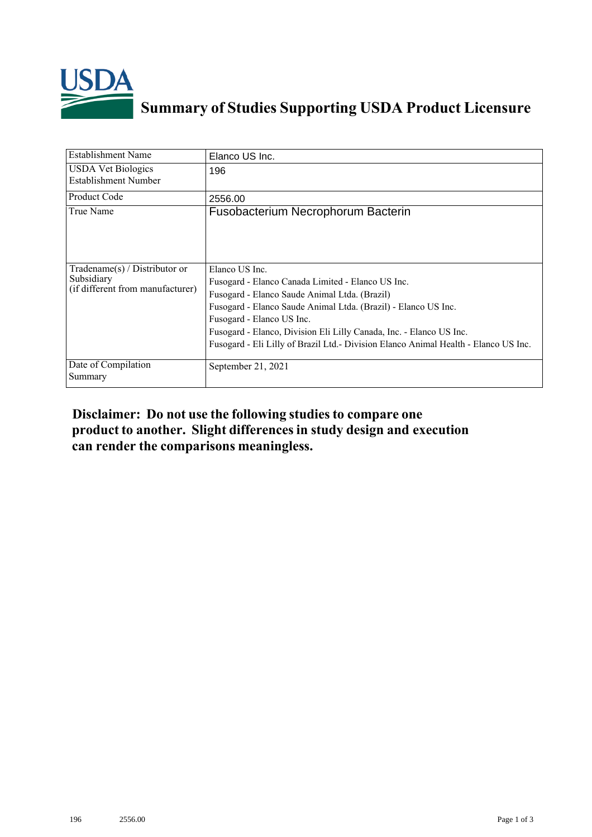

## **Summary of Studies Supporting USDA Product Licensure**

| Establishment Name                                                                | Elanco US Inc.                                                                                                                                                                                                                                                                                                                                                                     |
|-----------------------------------------------------------------------------------|------------------------------------------------------------------------------------------------------------------------------------------------------------------------------------------------------------------------------------------------------------------------------------------------------------------------------------------------------------------------------------|
| <b>USDA</b> Vet Biologics<br><b>Establishment Number</b>                          | 196                                                                                                                                                                                                                                                                                                                                                                                |
| Product Code                                                                      | 2556.00                                                                                                                                                                                                                                                                                                                                                                            |
| True Name                                                                         | Fusobacterium Necrophorum Bacterin                                                                                                                                                                                                                                                                                                                                                 |
| $Tradename(s) / Distributor$ or<br>Subsidiary<br>(if different from manufacturer) | Elanco US Inc.<br>Fusogard - Elanco Canada Limited - Elanco US Inc.<br>Fusogard - Elanco Saude Animal Ltda. (Brazil)<br>Fusogard - Elanco Saude Animal Ltda. (Brazil) - Elanco US Inc.<br>Fusogard - Elanco US Inc.<br>Fusogard - Elanco, Division Eli Lilly Canada, Inc. - Elanco US Inc.<br>Fusogard - Eli Lilly of Brazil Ltd. - Division Elanco Animal Health - Elanco US Inc. |
| Date of Compilation<br>Summary                                                    | September 21, 2021                                                                                                                                                                                                                                                                                                                                                                 |

## **Disclaimer: Do not use the following studiesto compare one product to another. Slight differencesin study design and execution can render the comparisons meaningless.**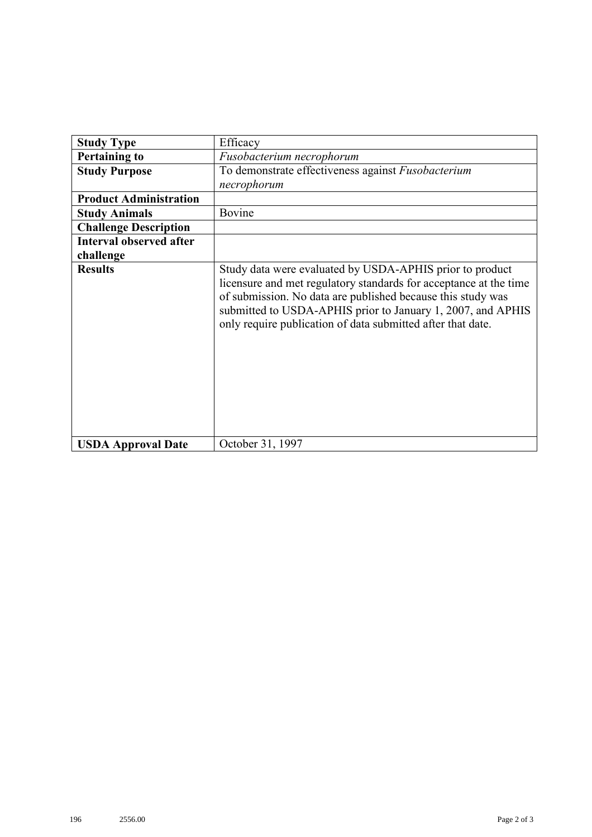| <b>Study Type</b>              | Efficacy                                                                                                                                                                                                                                                                                                                   |
|--------------------------------|----------------------------------------------------------------------------------------------------------------------------------------------------------------------------------------------------------------------------------------------------------------------------------------------------------------------------|
| <b>Pertaining to</b>           | Fusobacterium necrophorum                                                                                                                                                                                                                                                                                                  |
| <b>Study Purpose</b>           | To demonstrate effectiveness against Fusobacterium                                                                                                                                                                                                                                                                         |
|                                | necrophorum                                                                                                                                                                                                                                                                                                                |
| <b>Product Administration</b>  |                                                                                                                                                                                                                                                                                                                            |
| <b>Study Animals</b>           | Bovine                                                                                                                                                                                                                                                                                                                     |
| <b>Challenge Description</b>   |                                                                                                                                                                                                                                                                                                                            |
| <b>Interval observed after</b> |                                                                                                                                                                                                                                                                                                                            |
| challenge                      |                                                                                                                                                                                                                                                                                                                            |
| <b>Results</b>                 | Study data were evaluated by USDA-APHIS prior to product<br>licensure and met regulatory standards for acceptance at the time<br>of submission. No data are published because this study was<br>submitted to USDA-APHIS prior to January 1, 2007, and APHIS<br>only require publication of data submitted after that date. |
| <b>USDA Approval Date</b>      | October 31, 1997                                                                                                                                                                                                                                                                                                           |